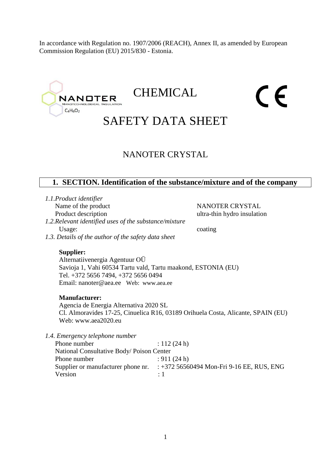In accordance with Regulation no. 1907/2006 (REACH), Annex II, as amended by European Commission Regulation (EU) 2015/830 - Estonia.



# **CHEMICAL**

# CE

# SAFETY DATA SHEET

# NANOTER CRYSTAL

# **1. SECTION. Identification of the substance/mixture and of the company**

*1.1.Product identifier*

*1.2.Relevant identified uses of the substance/mixture* Usage: coating

Name of the product NANOTER CRYSTAL Product description ultra-thin hydro insulation

*1.3. Details of the author of the safety data sheet*

#### **Supplier:**

Alternatiivenergia Agentuur OÜ Savioja 1, Vahi 60534 Tartu vald, Tartu maakond, ESTONIA (EU) Tel. +372 5656 7494, +372 5656 0494 Email: nanoter@aea.ee Web: www.aea.ee

#### **Manufacturer:**

Agencia de Energia Alternativa 2020 SL Cl. Almoravides 17-25, Cinuelica R16, 03189 Orihuela Costa, Alicante, SPAIN (EU) Web: www.aea2020.eu

*1.4. Emergency telephone number*

| Phone number                             | : $112(24 h)$                               |
|------------------------------------------|---------------------------------------------|
| National Consultative Body/Poison Center |                                             |
| Phone number                             | : 911(24 h)                                 |
| Supplier or manufacturer phone nr.       | $: +372$ 56560494 Mon-Fri 9-16 EE, RUS, ENG |
| Version                                  | $\cdot$ 1                                   |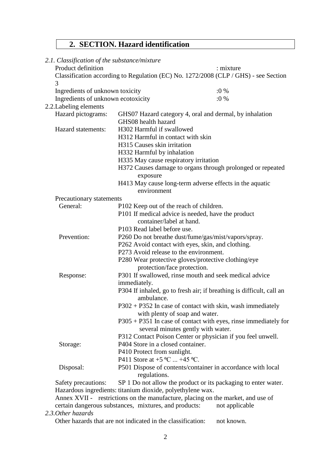# **2. SECTION. Hazard identification**

| 2.1. Classification of the substance/mixture |                                                            |                                                                                     |
|----------------------------------------------|------------------------------------------------------------|-------------------------------------------------------------------------------------|
| Product definition                           |                                                            | : mixture                                                                           |
| 3                                            |                                                            | Classification according to Regulation (EC) No. 1272/2008 (CLP / GHS) - see Section |
| Ingredients of unknown toxicity              |                                                            | $:0\%$                                                                              |
| Ingredients of unknown ecotoxicity           |                                                            | $:0\%$                                                                              |
| 2.2. Labeling elements                       |                                                            |                                                                                     |
| Hazard pictograms:                           |                                                            | GHS07 Hazard category 4, oral and dermal, by inhalation                             |
|                                              | GHS08 health hazard                                        |                                                                                     |
| Hazard statements:                           | H302 Harmful if swallowed                                  |                                                                                     |
|                                              | H312 Harmful in contact with skin                          |                                                                                     |
|                                              | H315 Causes skin irritation                                |                                                                                     |
|                                              | H332 Harmful by inhalation                                 |                                                                                     |
|                                              | H335 May cause respiratory irritation                      |                                                                                     |
|                                              |                                                            | H372 Causes damage to organs through prolonged or repeated                          |
|                                              | exposure                                                   |                                                                                     |
|                                              |                                                            | H413 May cause long-term adverse effects in the aquatic                             |
|                                              | environment                                                |                                                                                     |
| Precautionary statements                     |                                                            |                                                                                     |
| General:                                     | P102 Keep out of the reach of children.                    |                                                                                     |
|                                              |                                                            | P101 If medical advice is needed, have the product                                  |
|                                              | container/label at hand.                                   |                                                                                     |
|                                              | P103 Read label before use.                                |                                                                                     |
| Prevention:                                  |                                                            | P260 Do not breathe dust/fume/gas/mist/vapors/spray.                                |
|                                              | P262 Avoid contact with eyes, skin, and clothing.          |                                                                                     |
|                                              | P273 Avoid release to the environment.                     |                                                                                     |
|                                              |                                                            |                                                                                     |
|                                              | protection/face protection.                                | P280 Wear protective gloves/protective clothing/eye                                 |
| Response:                                    |                                                            | P301 If swallowed, rinse mouth and seek medical advice                              |
|                                              | immediately.                                               |                                                                                     |
|                                              |                                                            | P304 If inhaled, go to fresh air; if breathing is difficult, call an                |
|                                              | ambulance.                                                 |                                                                                     |
|                                              |                                                            | P302 + P352 In case of contact with skin, wash immediately                          |
|                                              | with plenty of soap and water.                             |                                                                                     |
|                                              |                                                            | $P305 + P351$ In case of contact with eyes, rinse immediately for                   |
|                                              |                                                            | several minutes gently with water.                                                  |
|                                              |                                                            | P312 Contact Poison Center or physician if you feel unwell.                         |
| Storage:                                     | P404 Store in a closed container.                          |                                                                                     |
|                                              | P410 Protect from sunlight.                                |                                                                                     |
|                                              | P411 Store at $+5$ °C $+45$ °C.                            |                                                                                     |
| Disposal:                                    |                                                            | P501 Dispose of contents/container in accordance with local                         |
|                                              | regulations.                                               |                                                                                     |
| Safety precautions:                          |                                                            | SP 1 Do not allow the product or its packaging to enter water.                      |
|                                              | Hazardous ingredients: titanium dioxide, polyethylene wax. |                                                                                     |
|                                              |                                                            | Annex XVII - restrictions on the manufacture, placing on the market, and use of     |

certain dangerous substances, mixtures, and products: not applicable

*2.3.Other hazards*

Other hazards that are not indicated in the classification: not known.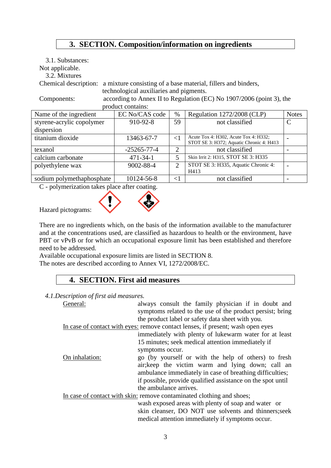# **3. SECTION. Composition/information on ingredients**

| 3.1. Substances:                                                                    |                                                               |                |                                                                                   |              |
|-------------------------------------------------------------------------------------|---------------------------------------------------------------|----------------|-----------------------------------------------------------------------------------|--------------|
| Not applicable.                                                                     |                                                               |                |                                                                                   |              |
| 3.2. Mixtures                                                                       |                                                               |                |                                                                                   |              |
| Chemical description:                                                               | a mixture consisting of a base material, fillers and binders, |                |                                                                                   |              |
|                                                                                     | technological auxiliaries and pigments.                       |                |                                                                                   |              |
| according to Annex II to Regulation (EC) No 1907/2006 (point 3), the<br>Components: |                                                               |                |                                                                                   |              |
|                                                                                     | product contains:                                             |                |                                                                                   |              |
| Name of the ingredient                                                              | EC No/CAS code                                                | $\%$           | Regulation 1272/2008 (CLP)                                                        | <b>Notes</b> |
| styrene-acrylic copolymer                                                           | 910-92-8                                                      | 59             | not classified                                                                    | C            |
| dispersion                                                                          |                                                               |                |                                                                                   |              |
| titanium dioxide                                                                    | 13463-67-7                                                    | $\leq$ 1       | Acute Tox 4: H302, Acute Tox 4: H332;<br>STOT SE 3: H372; Aquatic Chronic 4: H413 |              |
| texanol                                                                             | $-25265 - 77 - 4$                                             | 2              | not classified                                                                    |              |
| calcium carbonate                                                                   | $471 - 34 - 1$                                                | 5              | Skin Irrit 2: H315, STOT SE 3: H335                                               |              |
| polyethylene wax                                                                    | 9002-88-4                                                     | $\overline{2}$ | STOT SE 3: H335, Aquatic Chronic 4:                                               |              |
|                                                                                     |                                                               |                | H413                                                                              |              |
| sodium polymethaphosphate                                                           | 10124-56-8                                                    | $<$ 1          | not classified                                                                    |              |

C - polymerization takes place after coating.



Hazard pictograms:

There are no ingredients which, on the basis of the information available to the manufacturer and at the concentrations used, are classified as hazardous to health or the environment, have PBT or vPvB or for which an occupational exposure limit has been established and therefore need to be addressed.

Available occupational exposure limits are listed in SECTION 8. The notes are described according to Annex VI, 1272/2008/EC.

# **4. SECTION. First aid measures**

*4.1.Description of first aid measures.*

| General:       | always consult the family physician if in doubt and                             |
|----------------|---------------------------------------------------------------------------------|
|                | symptoms related to the use of the product persist; bring                       |
|                | the product label or safety data sheet with you.                                |
|                | In case of contact with eyes: remove contact lenses, if present; wash open eyes |
|                | immediately with plenty of lukewarm water for at least                          |
|                | 15 minutes; seek medical attention immediately if                               |
|                | symptoms occur.                                                                 |
| On inhalation: | go (by yourself or with the help of others) to fresh                            |
|                | air; keep the victim warm and lying down; call an                               |
|                | ambulance immediately in case of breathing difficulties;                        |
|                | if possible, provide qualified assistance on the spot until                     |
|                | the ambulance arrives.                                                          |
|                | In case of contact with skin: remove contaminated clothing and shoes;           |
|                | wash exposed areas with plenty of soap and water or                             |
|                | skin cleanser, DO NOT use solvents and thinners; seek                           |
|                | medical attention immediately if symptoms occur.                                |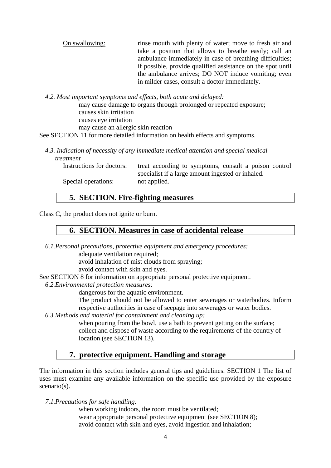| On swallowing: | rinse mouth with plenty of water; move to fresh air and<br>take a position that allows to breathe easily; call an       |
|----------------|-------------------------------------------------------------------------------------------------------------------------|
|                | ambulance immediately in case of breathing difficulties;<br>if possible, provide qualified assistance on the spot until |
|                | the ambulance arrives; DO NOT induce vomiting; even                                                                     |
|                | in milder cases, consult a doctor immediately.                                                                          |

*4.2. Most important symptoms and effects, both acute and delayed:*

may cause damage to organs through prolonged or repeated exposure; causes skin irritation causes eye irritation may cause an allergic skin reaction

See SECTION 11 for more detailed information on health effects and symptoms.

*4.3. Indication of necessity of any immediate medical attention and special medical treatment*

Instructions for doctors: treat according to symptoms, consult a poison control specialist if a large amount ingested or inhaled. Special operations: not applied.

#### **5. SECTION. Fire-fighting measures**

Class C, the product does not ignite or burn.

#### **6. SECTION. Measures in case of accidental release**

*6.1.Personal precautions, protective equipment and emergency procedures:* adequate ventilation required;

avoid inhalation of mist clouds from spraying;

avoid contact with skin and eyes.

- See SECTION 8 for information on appropriate personal protective equipment.
- *6.2.Environmental protection measures:*

dangerous for the aquatic environment.

The product should not be allowed to enter sewerages or waterbodies. Inform respective authorities in case of seepage into sewerages or water bodies.

*6.3.Methods and material for containment and cleaning up:*

when pouring from the bowl, use a bath to prevent getting on the surface; collect and dispose of waste according to the requirements of the country of location (see SECTION 13).

#### **7. protective equipment. Handling and storage**

The information in this section includes general tips and guidelines. SECTION 1 The list of uses must examine any available information on the specific use provided by the exposure scenario(s).

*7.1.Precautions for safe handling:*

when working indoors, the room must be ventilated; wear appropriate personal protective equipment (see SECTION 8); avoid contact with skin and eyes, avoid ingestion and inhalation;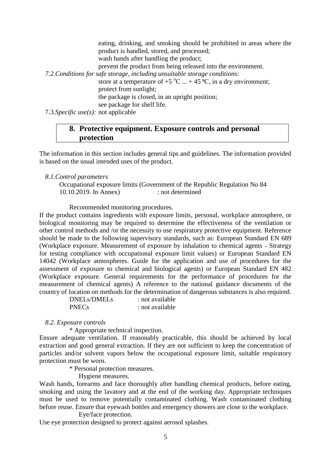eating, drinking, and smoking should be prohibited in areas where the product is handled, stored, and processed; wash hands after handling the product; prevent the product from being released into the environment. *7.2.Conditions for safe storage, including unsuitable storage conditions:* store at a temperature of +5  $^{\circ}$ C ... + 45  $^{\circ}$ C, in a dry environment; protect from sunlight; the package is closed, in an upright position; see package for shelf life.

7.3.*Specific use(s):* not applicable

# **8. Protective equipment. Exposure controls and personal protection**

The information in this section includes general tips and guidelines. The information provided is based on the usual intended uses of the product.

#### *8.1.Control parameters*

Occupational exposure limits (Government of the Republic Regulation No 84 10.10.2019. In Annex) : not determined

#### Recommended monitoring procedures.

If the product contains ingredients with exposure limits, personal, workplace atmosphere, or biological monitoring may be required to determine the effectiveness of the ventilation or other control methods and /or the necessity to use respiratory protective equipment. Reference should be made to the following supervisory standards, such as: European Standard EN 689 (Workplace exposure. Measurement of exposure by inhalation to chemical agents - Strategy for testing compliance with occupational exposure limit values) or European Standard EN 14042 (Workplace atmospheres. Guide for the application and use of procedures for the assessment of exposure to chemical and biological agents) or European Standard EN 482 (Workplace exposure. General requirements for the performance of procedures for the measurement of chemical agents) A reference to the national guidance documents of the country of location on methods for the determination of dangerous substances is also required.

| DNELs/DMELs  | : not available |
|--------------|-----------------|
| <b>PNECs</b> | : not available |

#### *8.2. Exposure controls*

\* Appropriate technical inspection.

Ensure adequate ventilation. If reasonably practicable, this should be achieved by local extraction and good general extraction. If they are not sufficient to keep the concentration of particles and/or solvent vapors below the occupational exposure limit, suitable respiratory protection must be worn.

\* Personal protection measures.

Hygiene measures.

Wash hands, forearms and face thoroughly after handling chemical products, before eating, smoking and using the lavatory and at the end of the working day. Appropriate techniques must be used to remove potentially contaminated clothing. Wash contaminated clothing before reuse. Ensure that eyewash bottles and emergency showers are close to the workplace.

Eye/face protection.

Use eye protection designed to protect against aerosol splashes.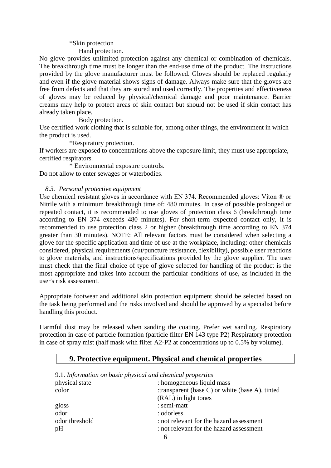#### \*Skin protection

Hand protection.

No glove provides unlimited protection against any chemical or combination of chemicals. The breakthrough time must be longer than the end-use time of the product. The instructions provided by the glove manufacturer must be followed. Gloves should be replaced regularly and even if the glove material shows signs of damage. Always make sure that the gloves are free from defects and that they are stored and used correctly. The properties and effectiveness of gloves may be reduced by physical/chemical damage and poor maintenance. Barrier creams may help to protect areas of skin contact but should not be used if skin contact has already taken place.

Body protection.

Use certified work clothing that is suitable for, among other things, the environment in which the product is used.

\*Respiratory protection.

If workers are exposed to concentrations above the exposure limit, they must use appropriate, certified respirators.

\* Environmental exposure controls. Do not allow to enter sewages or waterbodies.

#### *8.3. Personal protective equipment*

Use chemical resistant gloves in accordance with EN 374. Recommended gloves: Viton ® or Nitrile with a minimum breakthrough time of: 480 minutes. In case of possible prolonged or repeated contact, it is recommended to use gloves of protection class 6 (breakthrough time according to EN 374 exceeds 480 minutes). For short-term expected contact only, it is recommended to use protection class 2 or higher (breakthrough time according to EN 374 greater than 30 minutes). NOTE: All relevant factors must be considered when selecting a glove for the specific application and time of use at the workplace, including: other chemicals considered, physical requirements (cut/puncture resistance, flexibility), possible user reactions to glove materials, and instructions/specifications provided by the glove supplier. The user must check that the final choice of type of glove selected for handling of the product is the most appropriate and takes into account the particular conditions of use, as included in the user's risk assessment.

Appropriate footwear and additional skin protection equipment should be selected based on the task being performed and the risks involved and should be approved by a specialist before handling this product.

Harmful dust may be released when sanding the coating. Prefer wet sanding. Respiratory protection in case of particle formation (particle filter EN 143 type P2) Respiratory protection in case of spray mist (half mask with filter A2-P2 at concentrations up to 0.5% by volume).

| 9.1. Information on basic physical and chemical properties |                                                        |
|------------------------------------------------------------|--------------------------------------------------------|
| physical state                                             | : homogeneous liquid mass                              |
| color                                                      | : transparent (base $C$ ) or white (base $A$ ), tinted |
|                                                            | (RAL) in light tones                                   |
| gloss                                                      | : semi-matt                                            |
| odor                                                       | : odorless                                             |
| odor threshold                                             | : not relevant for the hazard assessment               |
| pH                                                         | : not relevant for the hazard assessment               |
|                                                            |                                                        |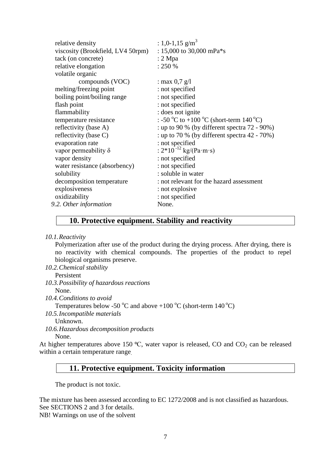| relative density                  | : 1,0-1,15 g/m <sup>3</sup>                      |
|-----------------------------------|--------------------------------------------------|
| viscosity (Brookfield, LV4 50rpm) | : 15,000 to 30,000 mPa <sup>*</sup> s            |
| tack (on concrete)                | $: 2$ Mpa                                        |
| relative elongation               | : 250 %                                          |
| volatile organic                  |                                                  |
|                                   |                                                  |
| compounds (VOC)                   | : max $0.7$ g/l                                  |
| melting/freezing point            | : not specified                                  |
| boiling point/boiling range       | : not specified                                  |
| flash point                       | : not specified                                  |
| flammability                      | : does not ignite                                |
| temperature resistance            | : -50 °C to +100 °C (short-term 140 °C)          |
| reflectivity (base A)             | : up to 90 % (by different spectra $72 - 90\%$ ) |
| reflectivity (base C)             | : up to 70 % (by different spectra $42 - 70\%$ ) |
| evaporation rate                  | : not specified                                  |
| vapor permeability $\delta$       | : $2*10^{-12}$ kg/(Pa·m·s)                       |
| vapor density                     | : not specified                                  |
| water resistance (absorbency)     | : not specified                                  |
| solubility                        | : soluble in water                               |
| decomposition temperature         | : not relevant for the hazard assessment         |
| explosiveness                     | : not explosive                                  |
| oxidizability                     | : not specified                                  |
| 9.2. Other information            | None.                                            |
|                                   |                                                  |

# **10. Protective equipment. Stability and reactivity**

*10.1.Reactivity*

Polymerization after use of the product during the drying process. After drying, there is no reactivity with chemical compounds. The properties of the product to repel biological organisms preserve.

*10.2.Chemical stability*

Persistent

- *10.3.Possibility of hazardous reactions* None.
- *10.4.Conditions to avoid*

Temperatures below -50  $^{\circ}$ C and above +100  $^{\circ}$ C (short-term 140  $^{\circ}$ C)

*10.5.Incompatible materials*

Unknown.

*10.6.Hazardous decomposition products* None.

At higher temperatures above 150  $^{\circ}$ C, water vapor is released, CO and CO<sub>2</sub> can be released within a certain temperature range.

#### **11. Protective equipment. Toxicity information**

The product is not toxic.

The mixture has been assessed according to EC 1272/2008 and is not classified as hazardous. See SECTIONS 2 and 3 for details.

NB! Warnings on use of the solvent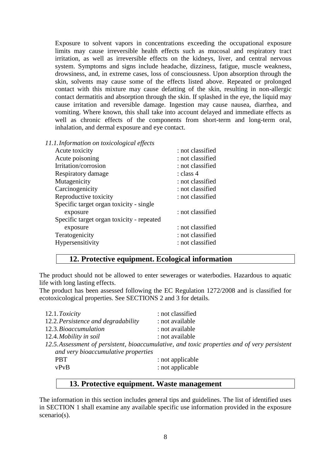Exposure to solvent vapors in concentrations exceeding the occupational exposure limits may cause irreversible health effects such as mucosal and respiratory tract irritation, as well as irreversible effects on the kidneys, liver, and central nervous system. Symptoms and signs include headache, dizziness, fatigue, muscle weakness, drowsiness, and, in extreme cases, loss of consciousness. Upon absorption through the skin, solvents may cause some of the effects listed above. Repeated or prolonged contact with this mixture may cause defatting of the skin, resulting in non-allergic contact dermatitis and absorption through the skin. If splashed in the eye, the liquid may cause irritation and reversible damage. Ingestion may cause nausea, diarrhea, and vomiting. Where known, this shall take into account delayed and immediate effects as well as chronic effects of the components from short-term and long-term oral, inhalation, and dermal exposure and eye contact.

*11.1.Information on toxicological effects*

| Acute poisoning<br>: not classified<br>Irritation/corrosion<br>: not classified<br>Respiratory damage<br>: class 4<br>Mutagenicity<br>: not classified<br>Carcinogenicity<br>: not classified<br>Reproductive toxicity<br>: not classified<br>Specific target organ toxicity - single<br>: not classified<br>exposure<br>Specific target organ toxicity - repeated<br>: not classified<br>exposure<br>Teratogenicity<br>: not classified<br>: not classified | Acute toxicity   | : not classified |
|--------------------------------------------------------------------------------------------------------------------------------------------------------------------------------------------------------------------------------------------------------------------------------------------------------------------------------------------------------------------------------------------------------------------------------------------------------------|------------------|------------------|
|                                                                                                                                                                                                                                                                                                                                                                                                                                                              |                  |                  |
|                                                                                                                                                                                                                                                                                                                                                                                                                                                              |                  |                  |
|                                                                                                                                                                                                                                                                                                                                                                                                                                                              |                  |                  |
|                                                                                                                                                                                                                                                                                                                                                                                                                                                              |                  |                  |
|                                                                                                                                                                                                                                                                                                                                                                                                                                                              |                  |                  |
|                                                                                                                                                                                                                                                                                                                                                                                                                                                              |                  |                  |
|                                                                                                                                                                                                                                                                                                                                                                                                                                                              |                  |                  |
|                                                                                                                                                                                                                                                                                                                                                                                                                                                              |                  |                  |
|                                                                                                                                                                                                                                                                                                                                                                                                                                                              |                  |                  |
|                                                                                                                                                                                                                                                                                                                                                                                                                                                              |                  |                  |
|                                                                                                                                                                                                                                                                                                                                                                                                                                                              |                  |                  |
|                                                                                                                                                                                                                                                                                                                                                                                                                                                              | Hypersensitivity |                  |

# **12. Protective equipment. Ecological information**

The product should not be allowed to enter sewerages or waterbodies. Hazardous to aquatic life with long lasting effects.

The product has been assessed following the EC Regulation 1272/2008 and is classified for ecotoxicological properties. See SECTIONS 2 and 3 for details.

| 12.1. Toxicity                      | : not classified                                                                             |
|-------------------------------------|----------------------------------------------------------------------------------------------|
| 12.2. Persistence and degradability | : not available                                                                              |
| 12.3. Bioaccumulation               | : not available                                                                              |
| 12.4. Mobility in soil              | : not available                                                                              |
|                                     | 12.5. Assessment of persistent, bioaccumulative, and toxic properties and of very persistent |
| and very bioaccumulative properties |                                                                                              |
| <b>PBT</b>                          | : not applicable                                                                             |
| vPvB                                | : not applicable                                                                             |
|                                     |                                                                                              |

# **13. Protective equipment. Waste management**

The information in this section includes general tips and guidelines. The list of identified uses in SECTION 1 shall examine any available specific use information provided in the exposure scenario(s).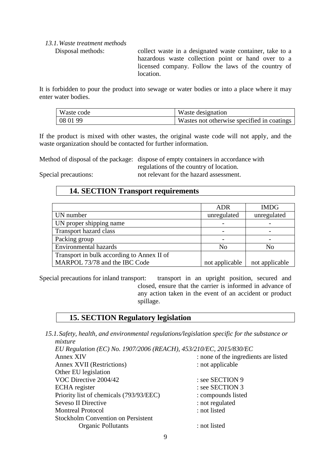# *13.1.Waste treatment methods*

Disposal methods: collect waste in a designated waste container, take to a hazardous waste collection point or hand over to a licensed company. Follow the laws of the country of location.

It is forbidden to pour the product into sewage or water bodies or into a place where it may enter water bodies.

| Waste code | Waste designation                          |
|------------|--------------------------------------------|
| 08 01 99   | Wastes not otherwise specified in coatings |

If the product is mixed with other wastes, the original waste code will not apply, and the waste organization should be contacted for further information.

Method of disposal of the package: dispose of empty containers in accordance with

regulations of the country of location. Special precautions: not relevant for the hazard assessment.

# **14. SECTION Transport requirements**

|                                            | <b>ADR</b>     | <b>IMDG</b>    |
|--------------------------------------------|----------------|----------------|
| UN number                                  | unregulated    | unregulated    |
| UN proper shipping name                    |                |                |
| Transport hazard class                     |                |                |
| Packing group                              |                |                |
| <b>Environmental hazards</b>               | No             | No             |
| Transport in bulk according to Annex II of |                |                |
| MARPOL 73/78 and the IBC Code              | not applicable | not applicable |

Special precautions for inland transport: transport in an upright position, secured and closed, ensure that the carrier is informed in advance of any action taken in the event of an accident or product spillage.

# **15. SECTION Regulatory legislation**

*15.1.Safety, health, and environmental regulations/legislation specific for the substance or mixture EU Regulation (EC) No. 1907/2006 (REACH), 453/210/EC, 2015/830/EC*

| LO Regulation (LC) NO. 1907/2000 (REACH), 433/210/LC, 2013/630/LC |                                      |
|-------------------------------------------------------------------|--------------------------------------|
| Annex XIV                                                         | : none of the ingredients are listed |
| <b>Annex XVII (Restrictions)</b>                                  | : not applicable                     |
| Other EU legislation                                              |                                      |
| VOC Directive 2004/42                                             | : see SECTION 9                      |
| <b>ECHA</b> register                                              | : see SECTION 3                      |
| Priority list of chemicals (793/93/EEC)                           | : compounds listed                   |
| Seveso II Directive                                               | : not regulated                      |
| <b>Montreal Protocol</b>                                          | : not listed                         |
| <b>Stockholm Convention on Persistent</b>                         |                                      |
| <b>Organic Pollutants</b>                                         | : not listed                         |
|                                                                   |                                      |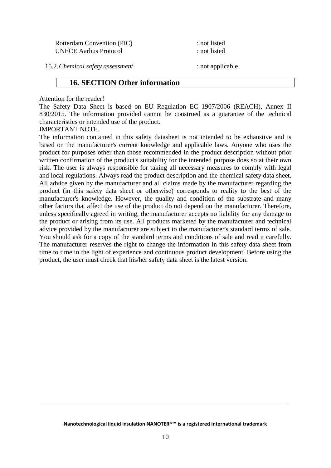Rotterdam Convention (PIC) : not listed UNECE Aarhus Protocol : not listed

15.2.*Chemical safety assessment* : not applicable

#### **16. SECTION Other information**

#### Attention for the reader!

The Safety Data Sheet is based on EU Regulation EC 1907/2006 (REACH), Annex II 830/2015. The information provided cannot be construed as a guarantee of the technical characteristics or intended use of the product.

#### IMPORTANT NOTE.

The information contained in this safety datasheet is not intended to be exhaustive and is based on the manufacturer's current knowledge and applicable laws. Anyone who uses the product for purposes other than those recommended in the product description without prior written confirmation of the product's suitability for the intended purpose does so at their own risk. The user is always responsible for taking all necessary measures to comply with legal and local regulations. Always read the product description and the chemical safety data sheet. All advice given by the manufacturer and all claims made by the manufacturer regarding the product (in this safety data sheet or otherwise) corresponds to reality to the best of the manufacturer's knowledge. However, the quality and condition of the substrate and many other factors that affect the use of the product do not depend on the manufacturer. Therefore, unless specifically agreed in writing, the manufacturer accepts no liability for any damage to the product or arising from its use. All products marketed by the manufacturer and technical advice provided by the manufacturer are subject to the manufacturer's standard terms of sale. You should ask for a copy of the standard terms and conditions of sale and read it carefully. The manufacturer reserves the right to change the information in this safety data sheet from time to time in the light of experience and continuous product development. Before using the product, the user must check that his/her safety data sheet is the latest version.